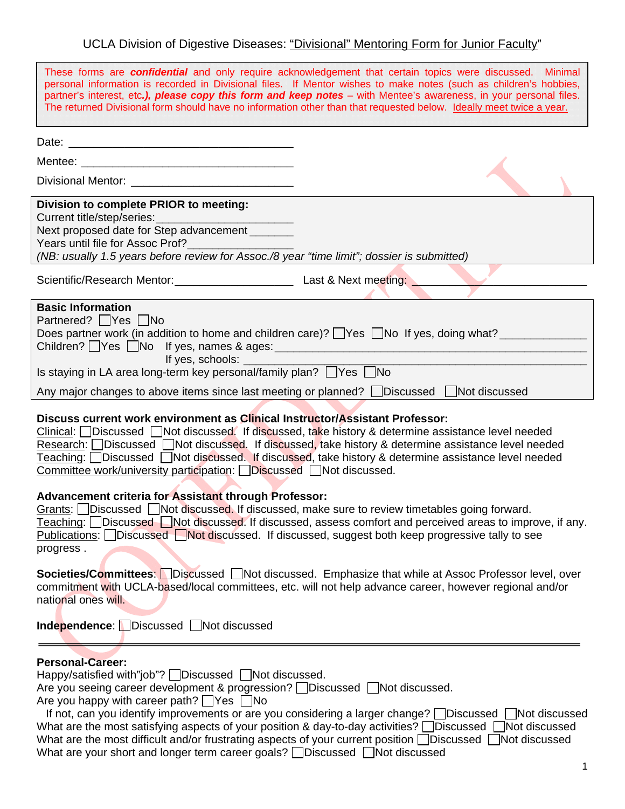## UCLA Division of Digestive Diseases: "Divisional" Mentoring Form for Junior Faculty"

| These forms are <b>confidential</b> and only require acknowledgement that certain topics were discussed. Minimal<br>personal information is recorded in Divisional files. If Mentor wishes to make notes (such as children's hobbies,<br>partner's interest, etc.), please copy this form and keep notes - with Mentee's awareness, in your personal files.                                                                                                        |                                                                                                                                                                                                                      |  |
|--------------------------------------------------------------------------------------------------------------------------------------------------------------------------------------------------------------------------------------------------------------------------------------------------------------------------------------------------------------------------------------------------------------------------------------------------------------------|----------------------------------------------------------------------------------------------------------------------------------------------------------------------------------------------------------------------|--|
| The returned Divisional form should have no information other than that requested below. Ideally meet twice a year.                                                                                                                                                                                                                                                                                                                                                |                                                                                                                                                                                                                      |  |
|                                                                                                                                                                                                                                                                                                                                                                                                                                                                    |                                                                                                                                                                                                                      |  |
|                                                                                                                                                                                                                                                                                                                                                                                                                                                                    |                                                                                                                                                                                                                      |  |
|                                                                                                                                                                                                                                                                                                                                                                                                                                                                    |                                                                                                                                                                                                                      |  |
| Division to complete PRIOR to meeting:                                                                                                                                                                                                                                                                                                                                                                                                                             |                                                                                                                                                                                                                      |  |
| Next proposed date for Step advancement _______                                                                                                                                                                                                                                                                                                                                                                                                                    |                                                                                                                                                                                                                      |  |
| Years until file for Assoc Prof?_______________<br>(NB: usually 1.5 years before review for Assoc./8 year "time limit"; dossier is submitted)                                                                                                                                                                                                                                                                                                                      |                                                                                                                                                                                                                      |  |
|                                                                                                                                                                                                                                                                                                                                                                                                                                                                    |                                                                                                                                                                                                                      |  |
|                                                                                                                                                                                                                                                                                                                                                                                                                                                                    |                                                                                                                                                                                                                      |  |
| <b>Basic Information</b><br>Partnered?     Yes     No<br>Does partner work (in addition to home and children care)? TYes TNo If yes, doing what?<br>If yes, schools: __________<br>Is staying in LA area long-term key personal/family plan? $\Box$ Yes $\Box$ No<br>Any major changes to above items since last meeting or planned? Discussed Not discussed                                                                                                       |                                                                                                                                                                                                                      |  |
| Discuss current work environment as Clinical Instructor/Assistant Professor:<br>$Clinical:$ Discussed Not discussed. If discussed, take history & determine assistance level needed<br>Research: Discussed Not discussed. If discussed, take history & determine assistance level needed<br>Teaching: Discussed Not discussed. If discussed, take history & determine assistance level needed<br>Committee work/university participation: Discussed Not discussed. |                                                                                                                                                                                                                      |  |
| Advancement criteria for Assistant through Professor:<br>Grants: Discussed Not discussed. If discussed, make sure to review timetables going forward.<br>Teaching: $\Box$ Discussed $\Box$ Not discussed. If discussed, assess comfort and perceived areas to improve, if any.<br>Publications: Discussed Not discussed. If discussed, suggest both keep progressive tally to see<br>progress.                                                                     |                                                                                                                                                                                                                      |  |
| national ones will.                                                                                                                                                                                                                                                                                                                                                                                                                                                | <b>Societies/Committees:</b> Discussed Not discussed. Emphasize that while at Assoc Professor level, over<br>commitment with UCLA-based/local committees, etc. will not help advance career, however regional and/or |  |
| Independence: Discussed Solicit Unit discussed                                                                                                                                                                                                                                                                                                                                                                                                                     |                                                                                                                                                                                                                      |  |

## **Personal-Career:**

Happy/satisfied with"job"? Discussed Not discussed.

Are you seeing career development & progression? Discussed Not discussed.

Are you happy with career path?  $\Box$  Yes  $\Box$  No

If not, can you identify improvements or are you considering a larger change?  $\Box$  Discussed  $\Box$  Not discussed What are the most satisfying aspects of your position & day-to-day activities?  $\Box$  Discussed  $\Box$  Not discussed What are the most difficult and/or frustrating aspects of your current position  $\Box$ Discussed  $\Box$ Not discussed What are your short and longer term career goals?  $\square$ Discussed  $\square$ Not discussed